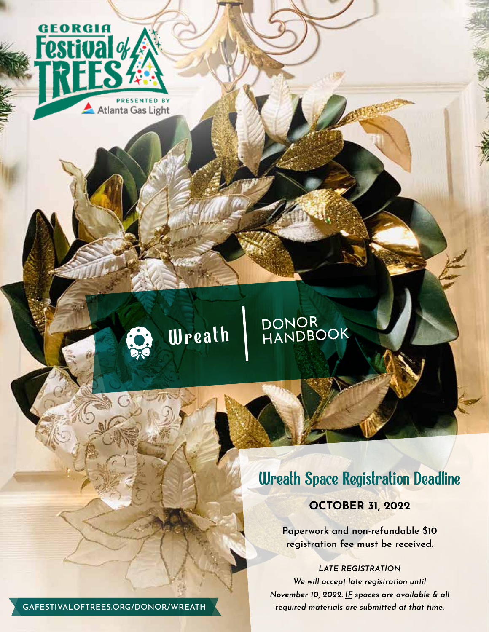

# Wreath DONOR<br>Wreath HANDBOOK

# Wreath Space Registration Deadline

## **OCTOBER 31, 2022**

**Paperwork and non-refundable \$10 registration fee must be received.**

*LATE REGISTRATION We will accept late registration until November 10, 2022. IF spaces are available & all* 

**GAFESTIVALOFTREES.ORG/DONOR/WREATH** *required materials are submitted at that time.*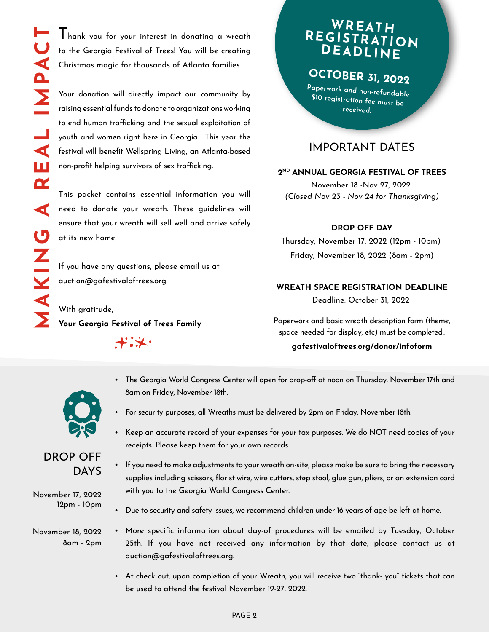Thank you for your interest in donating a wreath to the Georgia Festival of Trees! You will be creating Christmas magic for thousands of Atlanta families.

Your donation will directly impact our community by raising essential funds to donate to organizations working to end human trafficking and the sexual exploitation of youth and women right here in Georgia. This year the festival will benefit Wellspring Living, an Atlanta-based non-profit helping survivors of sex trafficking.

This packet contains essential information you will need to donate your wreath. These guidelines will ensure that your wreath will sell well and arrive safely at its new home.

If you have any questions, please email us at auction@gafestivaloftrees.org.

With gratitude, **Your Georgia Festival of Trees Family**

 $+$   $\star$ 

# **WREATH REGISTRATION DEADLINE**

**OCTOBER 31, 2022**

**Paperwork and non-refundable \$10 registration fee must be received.**

## IMPORTANT DATES

#### **2ND ANNUAL GEORGIA FESTIVAL OF TREES**

November 18 -Nov 27, 2022 *(Closed Nov 23 - Nov 24 for Thanksgiving)*

#### **DROP OFF DAY**

Thursday, November 17, 2022 (12pm - 10pm) Friday, November 18, 2022 (8am - 2pm)

#### **WREATH SPACE REGISTRATION DEADLINE**

Deadline: October 31, 2022

Paperwork and basic wreath description form (theme, space needed for display, etc) must be completed.:

#### **gafestivaloftrees.org/donor/infoform**



- The Georgia World Congress Center will open for drop-off at noon on Thursday, November 17th and 8am on Friday, November 18th.
- For security purposes, all Wreaths must be delivered by 2pm on Friday, November 18th.
- Keep an accurate record of your expenses for your tax purposes. We do NOT need copies of your receipts. Please keep them for your own records.
- If you need to make adjustments to your wreath on-site, please make be sure to bring the necessary supplies including scissors, florist wire, wire cutters, step stool, glue gun, pliers, or an extension cord with you to the Georgia World Congress Center.
- Due to security and safety issues, we recommend children under 16 years of age be left at home.
- More specific information about day-of procedures will be emailed by Tuesday, October 25th. If you have not received any information by that date, please contact us at auction@gafestivaloftrees.org.
	- At check out, upon completion of your Wreath, you will receive two "thank- you" tickets that can be used to attend the festival November 19-27, 2022.



## DROP OFF DAYS

November 17, 2022 12pm - 10pm

November 18, 2022 8am - 2pm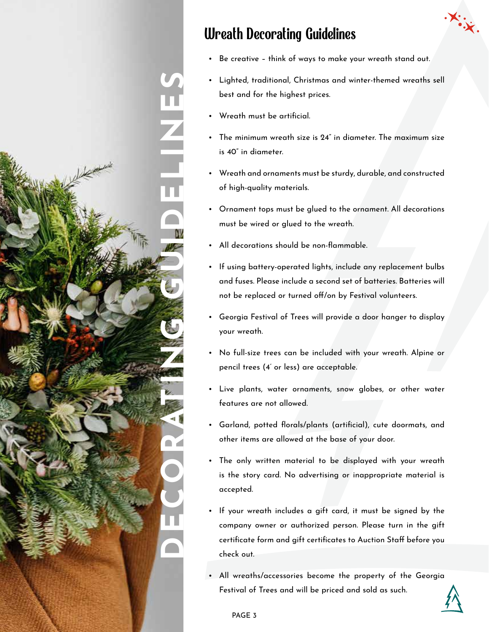

# Wreath Decorating Guidelines

- Be creative think of ways to make your wreath stand out.
- Lighted, traditional, Christmas and winter-themed wreaths sell best and for the highest prices.
- Wreath must be artificial.
- The minimum wreath size is 24" in diameter. The maximum size is 40" in diameter.
- Wreath and ornaments must be sturdy, durable, and constructed of high-quality materials.
- Ornament tops must be glued to the ornament. All decorations must be wired or glued to the wreath.
- All decorations should be non-flammable.
- If using battery-operated lights, include any replacement bulbs and fuses. Please include a second set of batteries. Batteries will not be replaced or turned off/on by Festival volunteers.
- Georgia Festival of Trees will provide a door hanger to display your wreath.
- No full-size trees can be included with your wreath. Alpine or pencil trees (4' or less) are acceptable.
- Live plants, water ornaments, snow globes, or other water features are not allowed.
- Garland, potted florals/plants (artificial), cute doormats, and other items are allowed at the base of your door.
- The only written material to be displayed with your wreath is the story card. No advertising or inappropriate material is accepted.
- If your wreath includes a gift card, it must be signed by the company owner or authorized person. Please turn in the gift certificate form and gift certificates to Auction Staff before you check out.
- All wreaths/accessories become the property of the Georgia Festival of Trees and will be priced and sold as such.

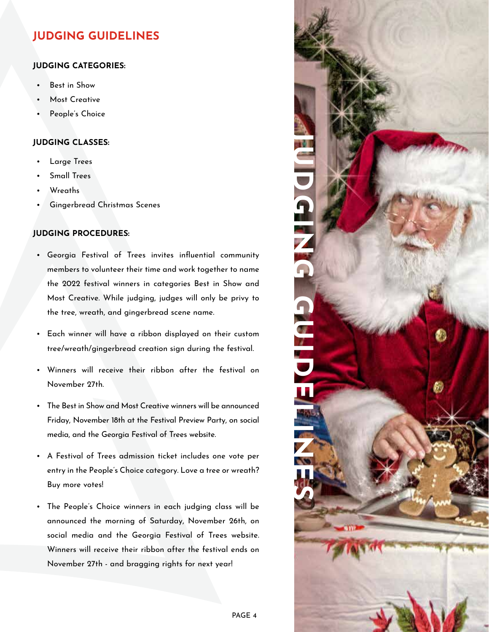# **JUDGING GUIDELINES**

### **JUDGING CATEGORIES:**

- Best in Show
- Most Creative
- People's Choice

#### **JUDGING CLASSES:**

- Large Trees
- Small Trees
- Wreaths
- Gingerbread Christmas Scenes

### **JUDGING PROCEDURES:**

- Georgia Festival of Trees invites influential community members to volunteer their time and work together to name the 2022 festival winners in categories Best in Show and Most Creative. While judging, judges will only be privy to the tree, wreath, and gingerbread scene name.
- Each winner will have a ribbon displayed on their custom tree/wreath/gingerbread creation sign during the festival.
- Winners will receive their ribbon after the festival on November 27th.
- The Best in Show and Most Creative winners will be announced Friday, November 18th at the Festival Preview Party, on social media, and the Georgia Festival of Trees website.
- A Festival of Trees admission ticket includes one vote per entry in the People's Choice category. Love a tree or wreath? Buy more votes!
- The People's Choice winners in each judging class will be announced the morning of Saturday, November 26th, on social media and the Georgia Festival of Trees website. Winners will receive their ribbon after the festival ends on November 27th - and bragging rights for next year!

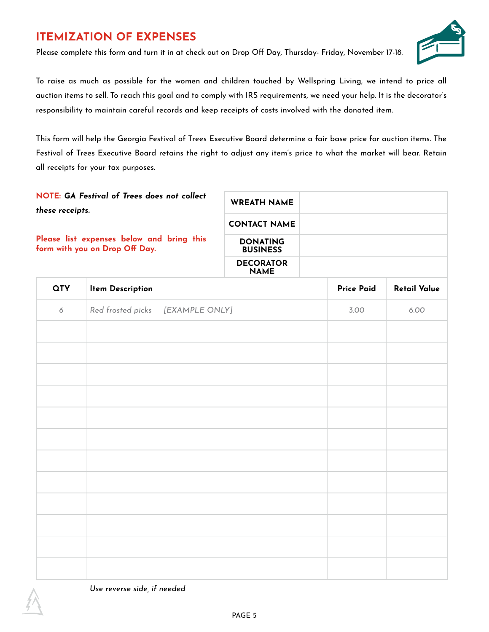# **ITEMIZATION OF EXPENSES**

Please complete this form and turn it in at check out on Drop Off Day, Thursday- Friday, November 17-18.



To raise as much as possible for the women and children touched by Wellspring Living, we intend to price all auction items to sell. To reach this goal and to comply with IRS requirements, we need your help. It is the decorator's responsibility to maintain careful records and keep receipts of costs involved with the donated item.

This form will help the Georgia Festival of Trees Executive Board determine a fair base price for auction items. The Festival of Trees Executive Board retains the right to adjust any item's price to what the market will bear. Retain all receipts for your tax purposes.

| NOTE: GA Festival of Trees does not collect<br>these receipts.              | <b>WREATH NAME</b>                 |  |
|-----------------------------------------------------------------------------|------------------------------------|--|
|                                                                             | <b>CONTACT NAME</b>                |  |
| Please list expenses below and bring this<br>form with you on Drop Off Day. | <b>DONATING</b><br><b>BUSINESS</b> |  |
|                                                                             | <b>DECORATOR</b>                   |  |

**NAME**

| <b>QTY</b> | <b>Item Description</b>          | <b>Price Paid</b> | <b>Retail Value</b> |
|------------|----------------------------------|-------------------|---------------------|
| $\epsilon$ | Red frosted picks [EXAMPLE ONLY] | 3.00              | 6.00                |
|            |                                  |                   |                     |
|            |                                  |                   |                     |
|            |                                  |                   |                     |
|            |                                  |                   |                     |
|            |                                  |                   |                     |
|            |                                  |                   |                     |
|            |                                  |                   |                     |
|            |                                  |                   |                     |
|            |                                  |                   |                     |
|            |                                  |                   |                     |
|            |                                  |                   |                     |
|            |                                  |                   |                     |